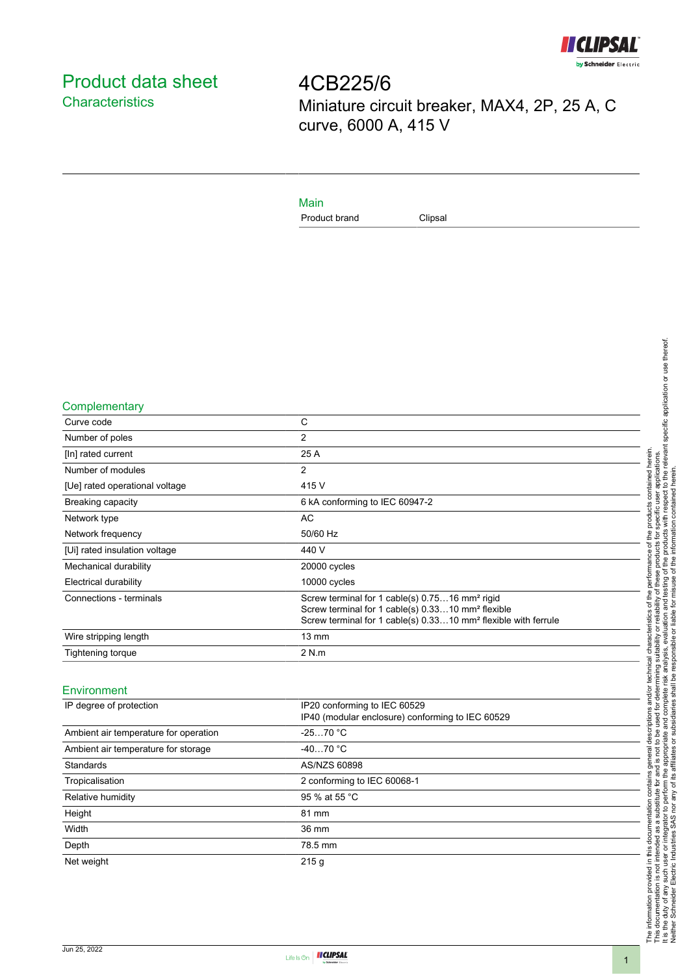

# <span id="page-0-0"></span>Product data sheet **Characteristics**

4CB225/6 Miniature circuit breaker, MAX4, 2P, 25 A, C curve, 6000 A, 415 V

### Main

Product brand Clipsal

#### **Complementary**

| Curve code                     | C                                                                                                                                                                                                         |
|--------------------------------|-----------------------------------------------------------------------------------------------------------------------------------------------------------------------------------------------------------|
| Number of poles                | 2                                                                                                                                                                                                         |
| [In] rated current             | 25 A                                                                                                                                                                                                      |
| Number of modules              | 2                                                                                                                                                                                                         |
| [Ue] rated operational voltage | 415 V                                                                                                                                                                                                     |
| Breaking capacity              | 6 kA conforming to IEC 60947-2                                                                                                                                                                            |
| Network type                   | AC                                                                                                                                                                                                        |
| Network frequency              | 50/60 Hz                                                                                                                                                                                                  |
| [Ui] rated insulation voltage  | 440 V                                                                                                                                                                                                     |
| Mechanical durability          | 20000 cycles                                                                                                                                                                                              |
| Electrical durability          | 10000 cycles                                                                                                                                                                                              |
| Connections - terminals        | Screw terminal for 1 cable(s) 0.7516 mm <sup>2</sup> rigid<br>Screw terminal for 1 cable(s) 0.3310 mm <sup>2</sup> flexible<br>Screw terminal for 1 cable(s) 0.3310 mm <sup>2</sup> flexible with ferrule |
| Wire stripping length          | $13 \text{ mm}$                                                                                                                                                                                           |
| Tightening torque              | 2 N.m                                                                                                                                                                                                     |

#### Environment

| IP degree of protection               | IP20 conforming to IEC 60529<br>IP40 (modular enclosure) conforming to IEC 60529 |
|---------------------------------------|----------------------------------------------------------------------------------|
| Ambient air temperature for operation | $-2570 °C$                                                                       |
| Ambient air temperature for storage   | $-4070 °C$                                                                       |
| Standards                             | AS/NZS 60898                                                                     |
| Tropicalisation                       | 2 conforming to IEC 60068-1                                                      |
| Relative humidity                     | 95 % at 55 °C                                                                    |
| Height                                | 81 mm                                                                            |
| Width                                 | 36 mm                                                                            |
| Depth                                 | 78.5 mm                                                                          |
| Net weight                            | 215q                                                                             |